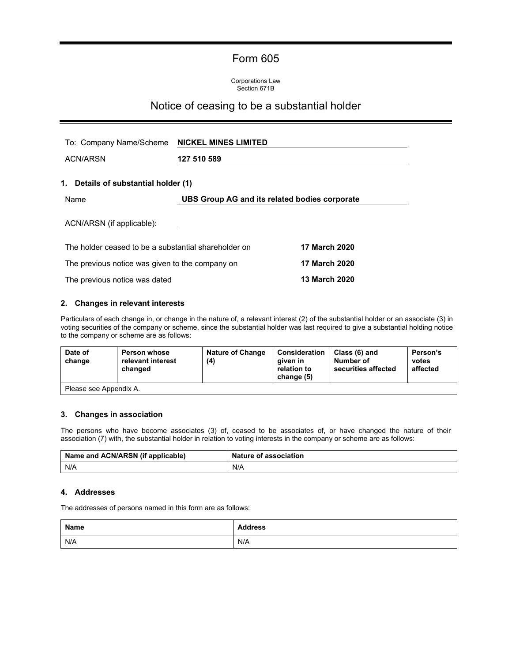# Form 605

Corporations Law Section 671B

## Notice of ceasing to be a substantial holder

| To: Company Name/Scheme                              | <b>NICKEL MINES LIMITED</b>                   |                      |  |
|------------------------------------------------------|-----------------------------------------------|----------------------|--|
| <b>ACN/ARSN</b>                                      | 127 510 589                                   |                      |  |
| 1. Details of substantial holder (1)                 |                                               |                      |  |
| Name                                                 | UBS Group AG and its related bodies corporate |                      |  |
| ACN/ARSN (if applicable):                            |                                               |                      |  |
| The holder ceased to be a substantial shareholder on |                                               | <b>17 March 2020</b> |  |
| The previous notice was given to the company on      |                                               | <b>17 March 2020</b> |  |
| The previous notice was dated                        |                                               | <b>13 March 2020</b> |  |

### **2. Changes in relevant interests**

Particulars of each change in, or change in the nature of, a relevant interest (2) of the substantial holder or an associate (3) in voting securities of the company or scheme, since the substantial holder was last required to give a substantial holding notice to the company or scheme are as follows:

| Date of<br>change      | <b>Person whose</b><br>relevant interest<br>changed | <b>Nature of Change</b><br>(4) | Consideration<br>aiven in<br>relation to<br>change (5) | Class (6) and<br>Number of<br>securities affected | Person's<br>votes<br>affected |
|------------------------|-----------------------------------------------------|--------------------------------|--------------------------------------------------------|---------------------------------------------------|-------------------------------|
| Please see Appendix A. |                                                     |                                |                                                        |                                                   |                               |

#### **3. Changes in association**

The persons who have become associates (3) of, ceased to be associates of, or have changed the nature of their association (7) with, the substantial holder in relation to voting interests in the company or scheme are as follows:

| Name and ACN/ARSN (if applicable) | <b>Nature of association</b> |  |  |
|-----------------------------------|------------------------------|--|--|
| N/A                               | N/A                          |  |  |

### **4. Addresses**

The addresses of persons named in this form are as follows:

| Name | <b>Address</b> |
|------|----------------|
| N/A  | N/A            |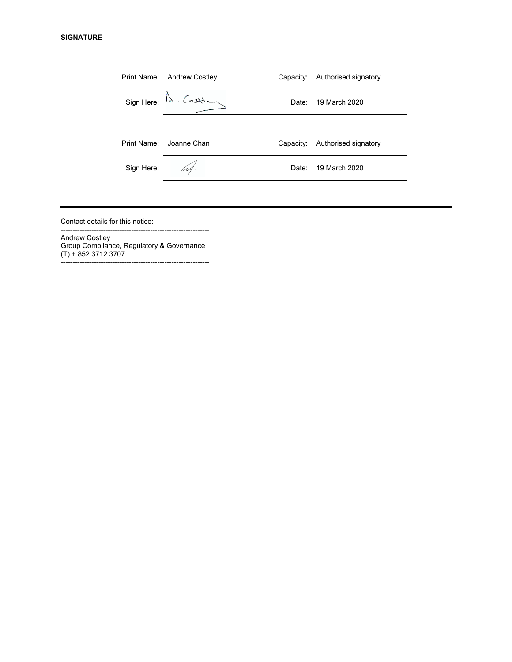|             | Print Name: Andrew Costley        | Capacity: | Authorised signatory |
|-------------|-----------------------------------|-----------|----------------------|
|             | $Sign Here: \mathbb{A}$ . Costlan | Date:     | 19 March 2020        |
| Print Name: | Joanne Chan                       | Capacity: | Authorised signatory |
| Sign Here:  | U4.                               | Date:     | 19 March 2020        |
|             |                                   |           |                      |

Contact details for this notice:

--------------------------------------------------------------- Andrew Costley Group Compliance, Regulatory & Governance (T) + 852 3712 3707 ---------------------------------------------------------------